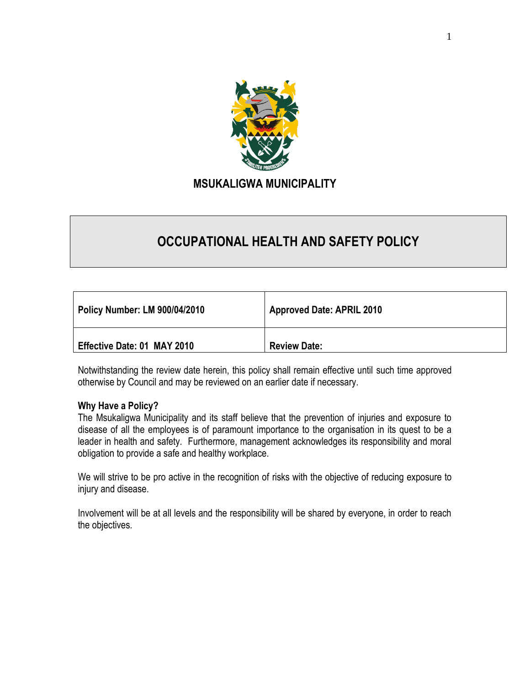

# **OCCUPATIONAL HEALTH AND SAFETY POLICY**

| <b>Policy Number: LM 900/04/2010</b> | <b>Approved Date: APRIL 2010</b> |
|--------------------------------------|----------------------------------|
| Effective Date: 01 MAY 2010          | <b>Review Date:</b>              |

Notwithstanding the review date herein, this policy shall remain effective until such time approved otherwise by Council and may be reviewed on an earlier date if necessary.

## **Why Have a Policy?**

The Msukaligwa Municipality and its staff believe that the prevention of injuries and exposure to disease of all the employees is of paramount importance to the organisation in its quest to be a leader in health and safety. Furthermore, management acknowledges its responsibility and moral obligation to provide a safe and healthy workplace.

We will strive to be pro active in the recognition of risks with the objective of reducing exposure to injury and disease.

Involvement will be at all levels and the responsibility will be shared by everyone, in order to reach the objectives.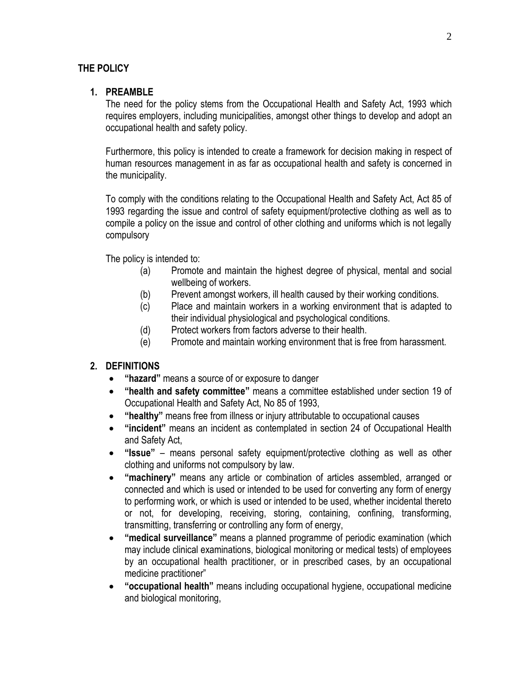## **THE POLICY**

## **1. PREAMBLE**

The need for the policy stems from the Occupational Health and Safety Act, 1993 which requires employers, including municipalities, amongst other things to develop and adopt an occupational health and safety policy.

Furthermore, this policy is intended to create a framework for decision making in respect of human resources management in as far as occupational health and safety is concerned in the municipality.

To comply with the conditions relating to the Occupational Health and Safety Act, Act 85 of 1993 regarding the issue and control of safety equipment/protective clothing as well as to compile a policy on the issue and control of other clothing and uniforms which is not legally compulsory

The policy is intended to:

- (a) Promote and maintain the highest degree of physical, mental and social wellbeing of workers.
- (b) Prevent amongst workers, ill health caused by their working conditions.
- (c) Place and maintain workers in a working environment that is adapted to their individual physiological and psychological conditions.
- (d) Protect workers from factors adverse to their health.
- (e) Promote and maintain working environment that is free from harassment.

## **2. DEFINITIONS**

- **"hazard"** means a source of or exposure to danger
- **"health and safety committee"** means a committee established under section 19 of Occupational Health and Safety Act, No 85 of 1993,
- **"healthy"** means free from illness or injury attributable to occupational causes
- **"incident"** means an incident as contemplated in section 24 of Occupational Health and Safety Act,
- **"Issue"** means personal safety equipment/protective clothing as well as other clothing and uniforms not compulsory by law.
- **"machinery"** means any article or combination of articles assembled, arranged or connected and which is used or intended to be used for converting any form of energy to performing work, or which is used or intended to be used, whether incidental thereto or not, for developing, receiving, storing, containing, confining, transforming, transmitting, transferring or controlling any form of energy,
- **"medical surveillance"** means a planned programme of periodic examination (which may include clinical examinations, biological monitoring or medical tests) of employees by an occupational health practitioner, or in prescribed cases, by an occupational medicine practitioner"
- **"occupational health"** means including occupational hygiene, occupational medicine and biological monitoring,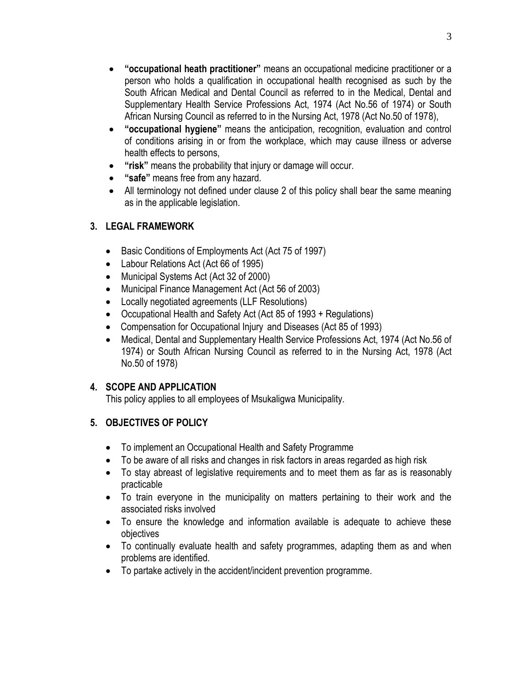- **"occupational heath practitioner"** means an occupational medicine practitioner or a person who holds a qualification in occupational health recognised as such by the South African Medical and Dental Council as referred to in the Medical, Dental and Supplementary Health Service Professions Act, 1974 (Act No.56 of 1974) or South African Nursing Council as referred to in the Nursing Act, 1978 (Act No.50 of 1978),
- **"occupational hygiene"** means the anticipation, recognition, evaluation and control of conditions arising in or from the workplace, which may cause illness or adverse health effects to persons,
- **"risk"** means the probability that injury or damage will occur.
- **"safe"** means free from any hazard.
- All terminology not defined under clause 2 of this policy shall bear the same meaning as in the applicable legislation.

# **3. LEGAL FRAMEWORK**

- Basic Conditions of Employments Act (Act 75 of 1997)
- Labour Relations Act (Act 66 of 1995)
- Municipal Systems Act (Act 32 of 2000)
- Municipal Finance Management Act (Act 56 of 2003)
- Locally negotiated agreements (LLF Resolutions)
- Occupational Health and Safety Act (Act 85 of 1993 + Regulations)
- Compensation for Occupational Injury and Diseases (Act 85 of 1993)
- Medical, Dental and Supplementary Health Service Professions Act, 1974 (Act No.56 of 1974) or South African Nursing Council as referred to in the Nursing Act, 1978 (Act No.50 of 1978)

## **4. SCOPE AND APPLICATION**

This policy applies to all employees of Msukaligwa Municipality.

# **5. OBJECTIVES OF POLICY**

- To implement an Occupational Health and Safety Programme
- To be aware of all risks and changes in risk factors in areas regarded as high risk
- To stay abreast of legislative requirements and to meet them as far as is reasonably practicable
- To train everyone in the municipality on matters pertaining to their work and the associated risks involved
- To ensure the knowledge and information available is adequate to achieve these objectives
- To continually evaluate health and safety programmes, adapting them as and when problems are identified.
- To partake actively in the accident/incident prevention programme.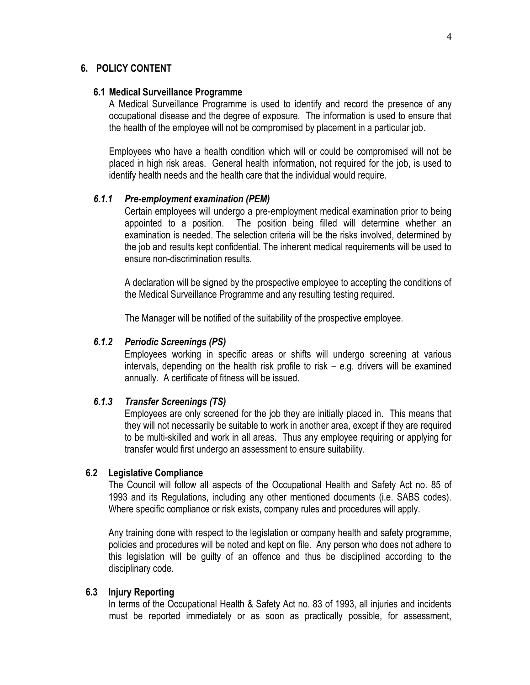## **6. POLICY CONTENT**

#### **6.1 Medical Surveillance Programme**

A Medical Surveillance Programme is used to identify and record the presence of any occupational disease and the degree of exposure. The information is used to ensure that the health of the employee will not be compromised by placement in a particular job.

Employees who have a health condition which will or could be compromised will not be placed in high risk areas. General health information, not required for the job, is used to identify health needs and the health care that the individual would require.

## *6.1.1 Pre-employment examination (PEM)*

Certain employees will undergo a pre-employment medical examination prior to being appointed to a position. The position being filled will determine whether an examination is needed. The selection criteria will be the risks involved, determined by the job and results kept confidential. The inherent medical requirements will be used to ensure non-discrimination results.

A declaration will be signed by the prospective employee to accepting the conditions of the Medical Surveillance Programme and any resulting testing required.

The Manager will be notified of the suitability of the prospective employee.

## *6.1.2 Periodic Screenings (PS)*

Employees working in specific areas or shifts will undergo screening at various intervals, depending on the health risk profile to risk – e.g. drivers will be examined annually. A certificate of fitness will be issued.

## *6.1.3 Transfer Screenings (TS)*

Employees are only screened for the job they are initially placed in. This means that they will not necessarily be suitable to work in another area, except if they are required to be multi-skilled and work in all areas. Thus any employee requiring or applying for transfer would first undergo an assessment to ensure suitability.

#### **6.2 Legislative Compliance**

The Council will follow all aspects of the Occupational Health and Safety Act no. 85 of 1993 and its Regulations, including any other mentioned documents (i.e. SABS codes). Where specific compliance or risk exists, company rules and procedures will apply.

Any training done with respect to the legislation or company health and safety programme, policies and procedures will be noted and kept on file. Any person who does not adhere to this legislation will be guilty of an offence and thus be disciplined according to the disciplinary code.

#### **6.3 Injury Reporting**

In terms of the Occupational Health & Safety Act no. 83 of 1993, all injuries and incidents must be reported immediately or as soon as practically possible, for assessment,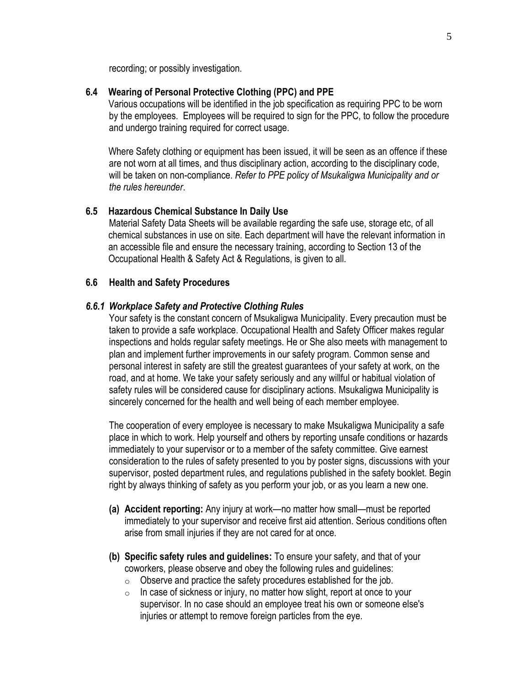recording; or possibly investigation.

#### **6.4 Wearing of Personal Protective Clothing (PPC) and PPE**

Various occupations will be identified in the job specification as requiring PPC to be worn by the employees. Employees will be required to sign for the PPC, to follow the procedure and undergo training required for correct usage.

Where Safety clothing or equipment has been issued, it will be seen as an offence if these are not worn at all times, and thus disciplinary action, according to the disciplinary code, will be taken on non-compliance. *Refer to PPE policy of Msukaligwa Municipality and or the rules hereunder*.

### **6.5 Hazardous Chemical Substance In Daily Use**

Material Safety Data Sheets will be available regarding the safe use, storage etc, of all chemical substances in use on site. Each department will have the relevant information in an accessible file and ensure the necessary training, according to Section 13 of the Occupational Health & Safety Act & Regulations, is given to all.

#### **6.6 Health and Safety Procedures**

#### *6.6.1 Workplace Safety and Protective Clothing Rules*

Your safety is the constant concern of Msukaligwa Municipality. Every precaution must be taken to provide a safe workplace. Occupational Health and Safety Officer makes regular inspections and holds regular safety meetings. He or She also meets with management to plan and implement further improvements in our safety program. Common sense and personal interest in safety are still the greatest guarantees of your safety at work, on the road, and at home. We take your safety seriously and any willful or habitual violation of safety rules will be considered cause for disciplinary actions. Msukaligwa Municipality is sincerely concerned for the health and well being of each member employee.

The cooperation of every employee is necessary to make Msukaligwa Municipality a safe place in which to work. Help yourself and others by reporting unsafe conditions or hazards immediately to your supervisor or to a member of the safety committee. Give earnest consideration to the rules of safety presented to you by poster signs, discussions with your supervisor, posted department rules, and regulations published in the safety booklet. Begin right by always thinking of safety as you perform your job, or as you learn a new one.

- **(a) Accident reporting:** Any injury at work—no matter how small—must be reported immediately to your supervisor and receive first aid attention. Serious conditions often arise from small injuries if they are not cared for at once.
- **(b) Specific safety rules and guidelines:** To ensure your safety, and that of your coworkers, please observe and obey the following rules and guidelines:
	- $\circ$  Observe and practice the safety procedures established for the job.
	- $\circ$  In case of sickness or injury, no matter how slight, report at once to your supervisor. In no case should an employee treat his own or someone else's injuries or attempt to remove foreign particles from the eye.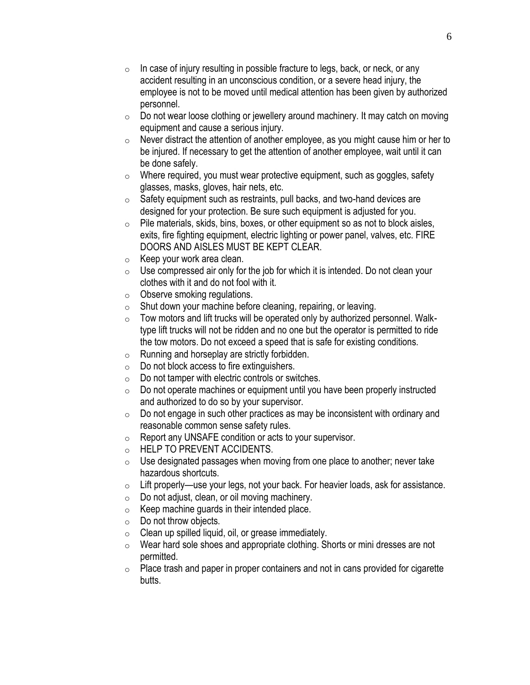- $\circ$  In case of injury resulting in possible fracture to legs, back, or neck, or any accident resulting in an unconscious condition, or a severe head injury, the employee is not to be moved until medical attention has been given by authorized personnel.
- o Do not wear loose clothing or jewellery around machinery. It may catch on moving equipment and cause a serious injury.
- $\circ$  Never distract the attention of another employee, as you might cause him or her to be injured. If necessary to get the attention of another employee, wait until it can be done safely.
- $\circ$  Where required, you must wear protective equipment, such as goggles, safety glasses, masks, gloves, hair nets, etc.
- $\circ$  Safety equipment such as restraints, pull backs, and two-hand devices are designed for your protection. Be sure such equipment is adjusted for you.
- $\circ$  Pile materials, skids, bins, boxes, or other equipment so as not to block aisles, exits, fire fighting equipment, electric lighting or power panel, valves, etc. FIRE DOORS AND AISLES MUST BE KEPT CLEAR.
- $\circ$  Keep your work area clean.
- $\circ$  Use compressed air only for the job for which it is intended. Do not clean your clothes with it and do not fool with it.
- o Observe smoking regulations.
- $\circ$  Shut down your machine before cleaning, repairing, or leaving.
- $\circ$  Tow motors and lift trucks will be operated only by authorized personnel. Walktype lift trucks will not be ridden and no one but the operator is permitted to ride the tow motors. Do not exceed a speed that is safe for existing conditions.
- $\circ$  Running and horseplay are strictly forbidden.
- $\circ$  Do not block access to fire extinguishers.
- $\circ$  Do not tamper with electric controls or switches.
- $\circ$  Do not operate machines or equipment until you have been properly instructed and authorized to do so by your supervisor.
- $\circ$  Do not engage in such other practices as may be inconsistent with ordinary and reasonable common sense safety rules.
- o Report any UNSAFE condition or acts to your supervisor.
- o HELP TO PREVENT ACCIDENTS.
- $\circ$  Use designated passages when moving from one place to another; never take hazardous shortcuts.
- $\circ$  Lift properly—use your legs, not your back. For heavier loads, ask for assistance.
- $\circ$  Do not adjust, clean, or oil moving machinery.
- $\circ$  Keep machine guards in their intended place.
- $\circ$  Do not throw objects.
- $\circ$  Clean up spilled liquid, oil, or grease immediately.
- $\circ$  Wear hard sole shoes and appropriate clothing. Shorts or mini dresses are not permitted.
- $\circ$  Place trash and paper in proper containers and not in cans provided for cigarette butts.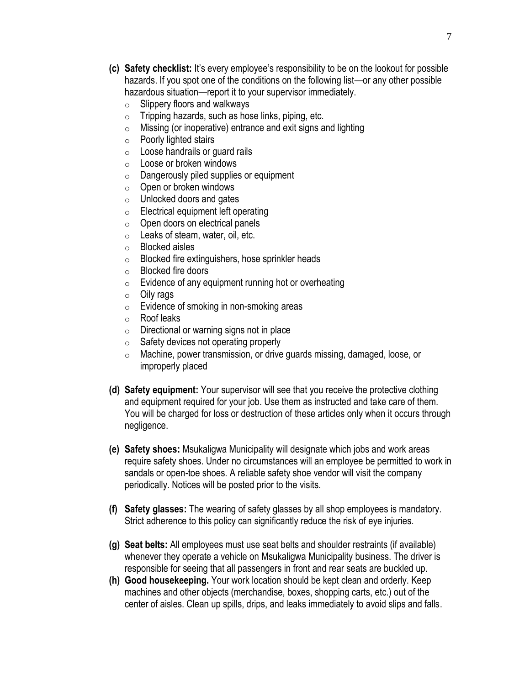- **(c) Safety checklist:** It's every employee's responsibility to be on the lookout for possible hazards. If you spot one of the conditions on the following list—or any other possible hazardous situation—report it to your supervisor immediately.
	- $\circ$  Slippery floors and walkways
	- $\circ$  Tripping hazards, such as hose links, piping, etc.
	- $\circ$  Missing (or inoperative) entrance and exit signs and lighting
	- $\circ$  Poorly lighted stairs
	- $\circ$  Loose handrails or guard rails
	- o Loose or broken windows
	- $\circ$  Dangerously piled supplies or equipment
	- $\circ$  Open or broken windows
	- o Unlocked doors and gates
	- $\circ$  Electrical equipment left operating
	- $\circ$  Open doors on electrical panels
	- o Leaks of steam, water, oil, etc.
	- o Blocked aisles
	- o Blocked fire extinguishers, hose sprinkler heads
	- o Blocked fire doors
	- $\circ$  Evidence of any equipment running hot or overheating
	- o Oily rags
	- $\circ$  Evidence of smoking in non-smoking areas
	- o Roof leaks
	- $\circ$  Directional or warning signs not in place
	- $\circ$  Safety devices not operating properly
	- o Machine, power transmission, or drive guards missing, damaged, loose, or improperly placed
- **(d) Safety equipment:** Your supervisor will see that you receive the protective clothing and equipment required for your job. Use them as instructed and take care of them. You will be charged for loss or destruction of these articles only when it occurs through negligence.
- **(e) Safety shoes:** Msukaligwa Municipality will designate which jobs and work areas require safety shoes. Under no circumstances will an employee be permitted to work in sandals or open-toe shoes. A reliable safety shoe vendor will visit the company periodically. Notices will be posted prior to the visits.
- **(f) Safety glasses:** The wearing of safety glasses by all shop employees is mandatory. Strict adherence to this policy can significantly reduce the risk of eye injuries.
- **(g) Seat belts:** All employees must use seat belts and shoulder restraints (if available) whenever they operate a vehicle on Msukaligwa Municipality business. The driver is responsible for seeing that all passengers in front and rear seats are buckled up.
- **(h) Good housekeeping.** Your work location should be kept clean and orderly. Keep machines and other objects (merchandise, boxes, shopping carts, etc.) out of the center of aisles. Clean up spills, drips, and leaks immediately to avoid slips and falls.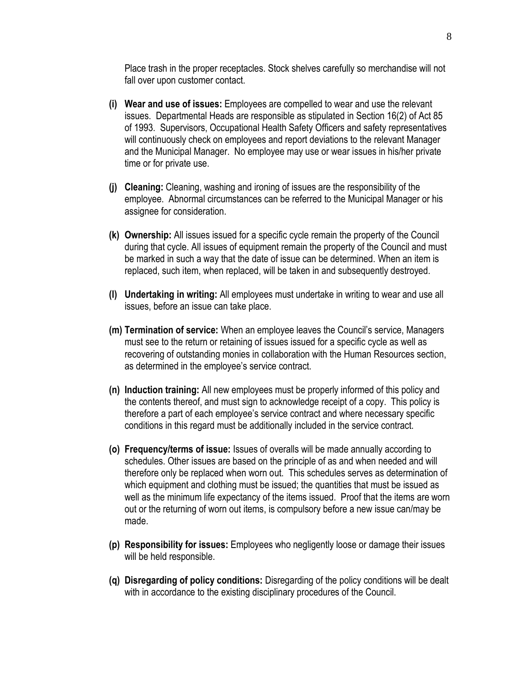Place trash in the proper receptacles. Stock shelves carefully so merchandise will not fall over upon customer contact.

- **(i) Wear and use of issues:** Employees are compelled to wear and use the relevant issues. Departmental Heads are responsible as stipulated in Section 16(2) of Act 85 of 1993. Supervisors, Occupational Health Safety Officers and safety representatives will continuously check on employees and report deviations to the relevant Manager and the Municipal Manager. No employee may use or wear issues in his/her private time or for private use.
- **(j) Cleaning:** Cleaning, washing and ironing of issues are the responsibility of the employee. Abnormal circumstances can be referred to the Municipal Manager or his assignee for consideration.
- **(k) Ownership:** All issues issued for a specific cycle remain the property of the Council during that cycle. All issues of equipment remain the property of the Council and must be marked in such a way that the date of issue can be determined. When an item is replaced, such item, when replaced, will be taken in and subsequently destroyed.
- **(l) Undertaking in writing:** All employees must undertake in writing to wear and use all issues, before an issue can take place.
- **(m) Termination of service:** When an employee leaves the Council's service, Managers must see to the return or retaining of issues issued for a specific cycle as well as recovering of outstanding monies in collaboration with the Human Resources section, as determined in the employee's service contract.
- **(n) Induction training:** All new employees must be properly informed of this policy and the contents thereof, and must sign to acknowledge receipt of a copy. This policy is therefore a part of each employee's service contract and where necessary specific conditions in this regard must be additionally included in the service contract.
- **(o) Frequency/terms of issue:** Issues of overalls will be made annually according to schedules. Other issues are based on the principle of as and when needed and will therefore only be replaced when worn out. This schedules serves as determination of which equipment and clothing must be issued; the quantities that must be issued as well as the minimum life expectancy of the items issued. Proof that the items are worn out or the returning of worn out items, is compulsory before a new issue can/may be made.
- **(p) Responsibility for issues:** Employees who negligently loose or damage their issues will be held responsible.
- **(q) Disregarding of policy conditions:** Disregarding of the policy conditions will be dealt with in accordance to the existing disciplinary procedures of the Council.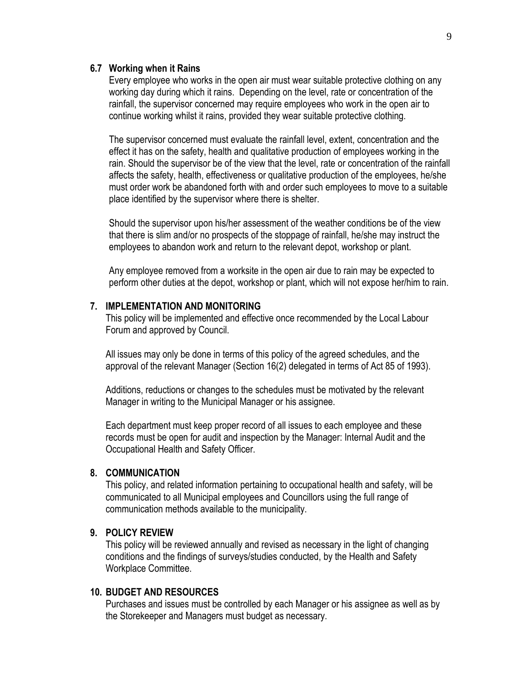#### **6.7 Working when it Rains**

Every employee who works in the open air must wear suitable protective clothing on any working day during which it rains. Depending on the level, rate or concentration of the rainfall, the supervisor concerned may require employees who work in the open air to continue working whilst it rains, provided they wear suitable protective clothing.

The supervisor concerned must evaluate the rainfall level, extent, concentration and the effect it has on the safety, health and qualitative production of employees working in the rain. Should the supervisor be of the view that the level, rate or concentration of the rainfall affects the safety, health, effectiveness or qualitative production of the employees, he/she must order work be abandoned forth with and order such employees to move to a suitable place identified by the supervisor where there is shelter.

Should the supervisor upon his/her assessment of the weather conditions be of the view that there is slim and/or no prospects of the stoppage of rainfall, he/she may instruct the employees to abandon work and return to the relevant depot, workshop or plant.

Any employee removed from a worksite in the open air due to rain may be expected to perform other duties at the depot, workshop or plant, which will not expose her/him to rain.

#### **7. IMPLEMENTATION AND MONITORING**

This policy will be implemented and effective once recommended by the Local Labour Forum and approved by Council.

All issues may only be done in terms of this policy of the agreed schedules, and the approval of the relevant Manager (Section 16(2) delegated in terms of Act 85 of 1993).

Additions, reductions or changes to the schedules must be motivated by the relevant Manager in writing to the Municipal Manager or his assignee.

Each department must keep proper record of all issues to each employee and these records must be open for audit and inspection by the Manager: Internal Audit and the Occupational Health and Safety Officer.

#### **8. COMMUNICATION**

This policy, and related information pertaining to occupational health and safety, will be communicated to all Municipal employees and Councillors using the full range of communication methods available to the municipality.

## **9. POLICY REVIEW**

This policy will be reviewed annually and revised as necessary in the light of changing conditions and the findings of surveys/studies conducted, by the Health and Safety Workplace Committee.

## **10. BUDGET AND RESOURCES**

Purchases and issues must be controlled by each Manager or his assignee as well as by the Storekeeper and Managers must budget as necessary.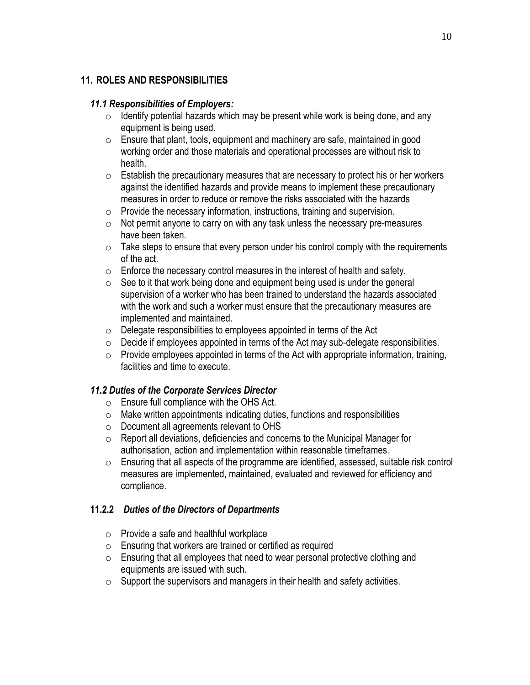# **11. ROLES AND RESPONSIBILITIES**

## *11.1 Responsibilities of Employers:*

- $\circ$  Identify potential hazards which may be present while work is being done, and any equipment is being used.
- o Ensure that plant, tools, equipment and machinery are safe, maintained in good working order and those materials and operational processes are without risk to health.
- $\circ$  Establish the precautionary measures that are necessary to protect his or her workers against the identified hazards and provide means to implement these precautionary measures in order to reduce or remove the risks associated with the hazards
- $\circ$  Provide the necessary information, instructions, training and supervision.
- o Not permit anyone to carry on with any task unless the necessary pre-measures have been taken.
- $\circ$  Take steps to ensure that every person under his control comply with the requirements of the act.
- $\circ$  Enforce the necessary control measures in the interest of health and safety.
- $\circ$  See to it that work being done and equipment being used is under the general supervision of a worker who has been trained to understand the hazards associated with the work and such a worker must ensure that the precautionary measures are implemented and maintained.
- $\circ$  Delegate responsibilities to employees appointed in terms of the Act
- o Decide if employees appointed in terms of the Act may sub‐delegate responsibilities.
- $\circ$  Provide employees appointed in terms of the Act with appropriate information, training, facilities and time to execute.

# *11.2 Duties of the Corporate Services Director*

- o Ensure full compliance with the OHS Act.
- o Make written appointments indicating duties, functions and responsibilities
- o Document all agreements relevant to OHS
- o Report all deviations, deficiencies and concerns to the Municipal Manager for authorisation, action and implementation within reasonable timeframes.
- o Ensuring that all aspects of the programme are identified, assessed, suitable risk control measures are implemented, maintained, evaluated and reviewed for efficiency and compliance.

# **11.2.2** *Duties of the Directors of Departments*

- o Provide a safe and healthful workplace
- $\circ$  Ensuring that workers are trained or certified as required
- o Ensuring that all employees that need to wear personal protective clothing and equipments are issued with such.
- $\circ$  Support the supervisors and managers in their health and safety activities.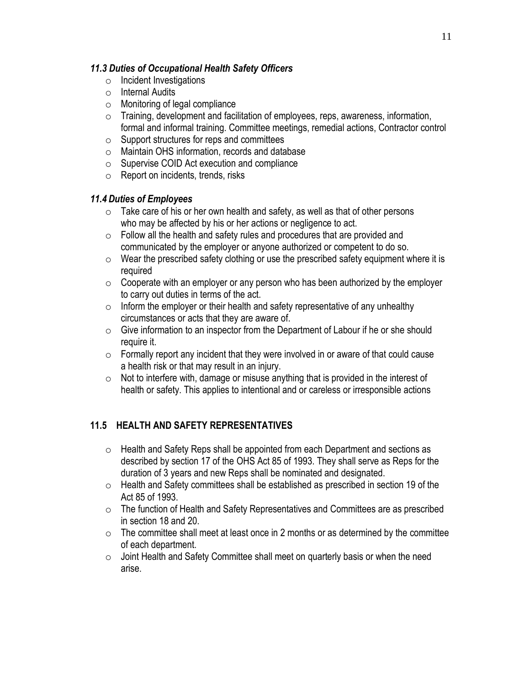## *11.3 Duties of Occupational Health Safety Officers*

- o Incident Investigations
- o Internal Audits
- o Monitoring of legal compliance
- o Training, development and facilitation of employees, reps, awareness, information, formal and informal training. Committee meetings, remedial actions, Contractor control
- $\circ$  Support structures for reps and committees
- o Maintain OHS information, records and database
- o Supervise COID Act execution and compliance
- $\circ$  Report on incidents, trends, risks

# *11.4 Duties of Employees*

- $\circ$  Take care of his or her own health and safety, as well as that of other persons who may be affected by his or her actions or negligence to act.
- $\circ$  Follow all the health and safety rules and procedures that are provided and communicated by the employer or anyone authorized or competent to do so.
- $\circ$  Wear the prescribed safety clothing or use the prescribed safety equipment where it is required
- $\circ$  Cooperate with an employer or any person who has been authorized by the employer to carry out duties in terms of the act.
- $\circ$  Inform the employer or their health and safety representative of any unhealthy circumstances or acts that they are aware of.
- $\circ$  Give information to an inspector from the Department of Labour if he or she should require it.
- $\circ$  Formally report any incident that they were involved in or aware of that could cause a health risk or that may result in an injury.
- $\circ$  Not to interfere with, damage or misuse anything that is provided in the interest of health or safety. This applies to intentional and or careless or irresponsible actions

# **11.5 HEALTH AND SAFETY REPRESENTATIVES**

- $\circ$  Health and Safety Reps shall be appointed from each Department and sections as described by section 17 of the OHS Act 85 of 1993. They shall serve as Reps for the duration of 3 years and new Reps shall be nominated and designated.
- o Health and Safety committees shall be established as prescribed in section 19 of the Act 85 of 1993.
- o The function of Health and Safety Representatives and Committees are as prescribed in section 18 and 20.
- $\circ$  The committee shall meet at least once in 2 months or as determined by the committee of each department.
- o Joint Health and Safety Committee shall meet on quarterly basis or when the need arise.